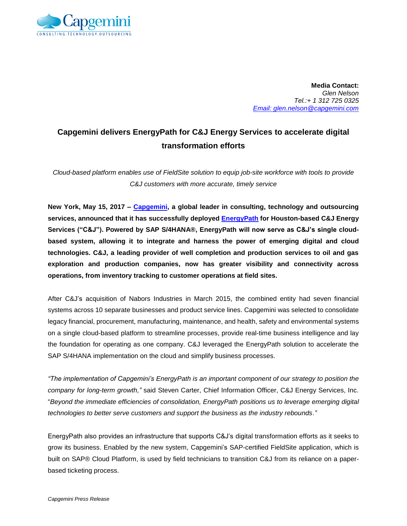

**Media Contact:** *Glen Nelson Tel.:+ 1 312 725 0325 Email: glen.nelson@capgemini.com*

## **Capgemini delivers EnergyPath for C&J Energy Services to accelerate digital transformation efforts**

*Cloud-based platform enables use of FieldSite solution to equip job-site workforce with tools to provide C&J customers with more accurate, timely service*

**New York, May 15, 2017 – [Capgemini,](https://www.capgemini.com/) a global leader in consulting, technology and outsourcing services, announced that it has successfully deployed [EnergyPath](https://www.capgemini.com/energypath) for Houston-based C&J Energy Services ("C&J"). Powered by SAP S/4HANA®, EnergyPath will now serve as C&J's single cloudbased system, allowing it to integrate and harness the power of emerging digital and cloud technologies. C&J, a leading provider of well completion and production services to oil and gas exploration and production companies, now has greater visibility and connectivity across operations, from inventory tracking to customer operations at field sites.** 

After C&J's acquisition of Nabors Industries in March 2015, the combined entity had seven financial systems across 10 separate businesses and product service lines. Capgemini was selected to consolidate legacy financial, procurement, manufacturing, maintenance, and health, safety and environmental systems on a single cloud-based platform to streamline processes, provide real-time business intelligence and lay the foundation for operating as one company. C&J leveraged the EnergyPath solution to accelerate the SAP S/4HANA implementation on the cloud and simplify business processes.

*"The implementation of Capgemini's EnergyPath is an important component of our strategy to position the company for long-term growth,"* said Steven Carter, Chief Information Officer, C&J Energy Services, Inc. "*Beyond the immediate efficiencies of consolidation, EnergyPath positions us to leverage emerging digital technologies to better serve customers and support the business as the industry rebounds."* 

EnergyPath also provides an infrastructure that supports C&J's digital transformation efforts as it seeks to grow its business. Enabled by the new system, Capgemini's SAP-certified FieldSite application, which is built on SAP® Cloud Platform, is used by field technicians to transition C&J from its reliance on a paperbased ticketing process.